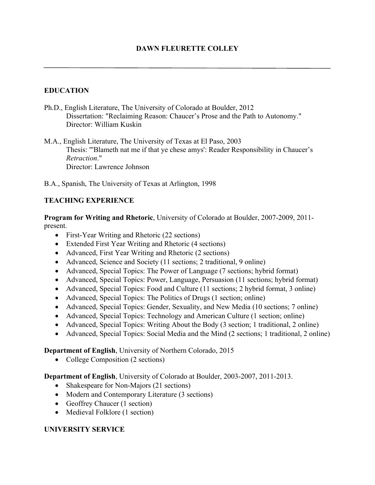## **EDUCATION**

Ph.D., English Literature, The University of Colorado at Boulder, 2012 Dissertation: "Reclaiming Reason: Chaucer's Prose and the Path to Autonomy." Director: William Kuskin

M.A., English Literature, The University of Texas at El Paso, 2003 Thesis: "'Blameth nat me if that ye chese amys': Reader Responsibility in Chaucer's *Retraction*." Director: Lawrence Johnson

B.A., Spanish, The University of Texas at Arlington, 1998

### **TEACHING EXPERIENCE**

**Program for Writing and Rhetoric**, University of Colorado at Boulder, 2007-2009, 2011 present.

- First-Year Writing and Rhetoric (22 sections)
- Extended First Year Writing and Rhetoric (4 sections)
- Advanced, First Year Writing and Rhetoric (2 sections)
- Advanced, Science and Society (11 sections; 2 traditional, 9 online)
- Advanced, Special Topics: The Power of Language (7 sections; hybrid format)
- Advanced, Special Topics: Power, Language, Persuasion (11 sections; hybrid format)
- Advanced, Special Topics: Food and Culture (11 sections; 2 hybrid format, 3 online)
- Advanced, Special Topics: The Politics of Drugs (1 section; online)
- Advanced, Special Topics: Gender, Sexuality, and New Media (10 sections; 7 online)
- Advanced, Special Topics: Technology and American Culture (1 section; online)
- Advanced, Special Topics: Writing About the Body (3 section; 1 traditional, 2 online)
- Advanced, Special Topics: Social Media and the Mind (2 sections; 1 traditional, 2 online)

#### **Department of English**, University of Northern Colorado, 2015

• College Composition (2 sections)

**Department of English**, University of Colorado at Boulder, 2003-2007, 2011-2013.

- Shakespeare for Non-Majors (21 sections)
- Modern and Contemporary Literature (3 sections)
- Geoffrey Chaucer (1 section)
- Medieval Folklore (1 section)

## **UNIVERSITY SERVICE**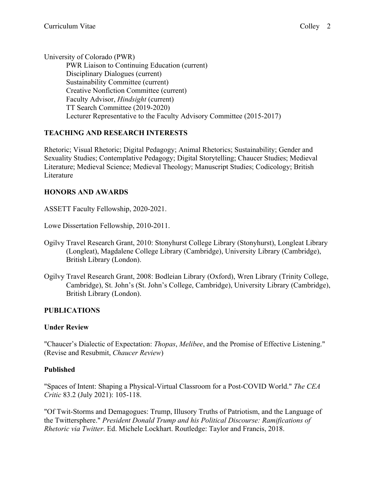University of Colorado (PWR) PWR Liaison to Continuing Education (current) Disciplinary Dialogues (current) Sustainability Committee (current) Creative Nonfiction Committee (current) Faculty Advisor, *Hindsight* (current) TT Search Committee (2019-2020) Lecturer Representative to the Faculty Advisory Committee (2015-2017)

## **TEACHING AND RESEARCH INTERESTS**

Rhetoric; Visual Rhetoric; Digital Pedagogy; Animal Rhetorics; Sustainability; Gender and Sexuality Studies; Contemplative Pedagogy; Digital Storytelling; Chaucer Studies; Medieval Literature; Medieval Science; Medieval Theology; Manuscript Studies; Codicology; British Literature

#### **HONORS AND AWARDS**

ASSETT Faculty Fellowship, 2020-2021.

Lowe Dissertation Fellowship, 2010-2011.

- Ogilvy Travel Research Grant, 2010: Stonyhurst College Library (Stonyhurst), Longleat Library (Longleat), Magdalene College Library (Cambridge), University Library (Cambridge), British Library (London).
- Ogilvy Travel Research Grant, 2008: Bodleian Library (Oxford), Wren Library (Trinity College, Cambridge), St. John's (St. John's College, Cambridge), University Library (Cambridge), British Library (London).

#### **PUBLICATIONS**

#### **Under Review**

"Chaucer's Dialectic of Expectation: *Thopas*, *Melibee*, and the Promise of Effective Listening." (Revise and Resubmit, *Chaucer Review*)

#### **Published**

"Spaces of Intent: Shaping a Physical-Virtual Classroom for a Post-COVID World." *The CEA Critic* 83.2 (July 2021): 105-118.

"Of Twit-Storms and Demagogues: Trump, Illusory Truths of Patriotism, and the Language of the Twittersphere." *President Donald Trump and his Political Discourse: Ramifications of Rhetoric via Twitter*. Ed. Michele Lockhart. Routledge: Taylor and Francis, 2018.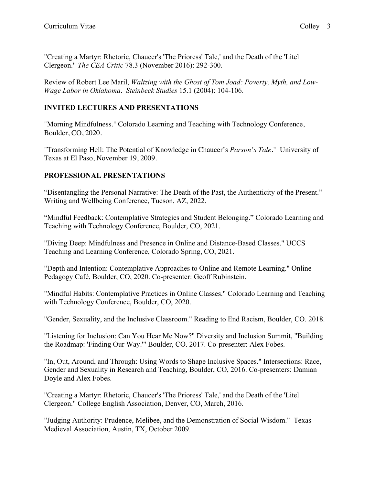"Creating a Martyr: Rhetoric, Chaucer's 'The Prioress' Tale,' and the Death of the 'Litel Clergeon." *The CEA Critic* 78.3 (November 2016): 292-300.

Review of Robert Lee Maril, *Waltzing with the Ghost of Tom Joad: Poverty, Myth, and Low-Wage Labor in Oklahoma*. *Steinbeck Studies* 15.1 (2004): 104-106.

# **INVITED LECTURES AND PRESENTATIONS**

"Morning Mindfulness." Colorado Learning and Teaching with Technology Conference, Boulder, CO, 2020.

"Transforming Hell: The Potential of Knowledge in Chaucer's *Parson's Tale*." University of Texas at El Paso, November 19, 2009.

# **PROFESSIONAL PRESENTATIONS**

"Disentangling the Personal Narrative: The Death of the Past, the Authenticity of the Present." Writing and Wellbeing Conference, Tucson, AZ, 2022.

"Mindful Feedback: Contemplative Strategies and Student Belonging." Colorado Learning and Teaching with Technology Conference, Boulder, CO, 2021.

"Diving Deep: Mindfulness and Presence in Online and Distance-Based Classes." UCCS Teaching and Learning Conference, Colorado Spring, CO, 2021.

"Depth and Intention: Contemplative Approaches to Online and Remote Learning." Online Pedagogy Café, Boulder, CO, 2020. Co-presenter: Geoff Rubinstein.

"Mindful Habits: Contemplative Practices in Online Classes." Colorado Learning and Teaching with Technology Conference, Boulder, CO, 2020.

"Gender, Sexuality, and the Inclusive Classroom." Reading to End Racism, Boulder, CO. 2018.

"Listening for Inclusion: Can You Hear Me Now?" Diversity and Inclusion Summit, "Building the Roadmap: 'Finding Our Way.'" Boulder, CO. 2017. Co-presenter: Alex Fobes.

"In, Out, Around, and Through: Using Words to Shape Inclusive Spaces." Intersections: Race, Gender and Sexuality in Research and Teaching, Boulder, CO, 2016. Co-presenters: Damian Doyle and Alex Fobes.

"Creating a Martyr: Rhetoric, Chaucer's 'The Prioress' Tale,' and the Death of the 'Litel Clergeon." College English Association, Denver, CO, March, 2016.

"Judging Authority: Prudence, Melibee, and the Demonstration of Social Wisdom." Texas Medieval Association, Austin, TX, October 2009.